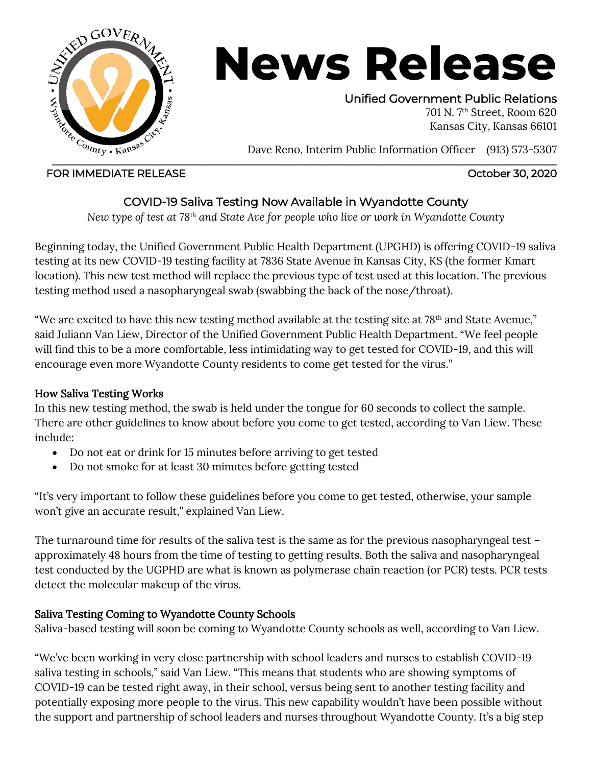

# **News Release**

Unified Government Public Relations

701 N. 7th Street, Room 620 Kansas City, Kansas 66101

Dave Reno, Interim Public Information Officer (913) 573-5307

### FOR IMMEDIATE RELEASE **FOR IMMEDIATE RELEASE**

# COVID-19 Saliva Testing Now Available in Wyandotte County

*New type of test at 78th and State Ave for people who live or work in Wyandotte County*

Beginning today, the Unified Government Public Health Department (UPGHD) is offering COVID-19 saliva testing at its new COVID-19 testing facility at 7836 State Avenue in Kansas City, KS (the former Kmart location). This new test method will replace the previous type of test used at this location. The previous testing method used a nasopharyngeal swab (swabbing the back of the nose/throat).

"We are excited to have this new testing method available at the testing site at 78<sup>th</sup> and State Avenue," said Juliann Van Liew, Director of the Unified Government Public Health Department. "We feel people will find this to be a more comfortable, less intimidating way to get tested for COVID-19, and this will encourage even more Wyandotte County residents to come get tested for the virus."

## How Saliva Testing Works

In this new testing method, the swab is held under the tongue for 60 seconds to collect the sample. There are other guidelines to know about before you come to get tested, according to Van Liew. These include:

- Do not eat or drink for 15 minutes before arriving to get tested
- Do not smoke for at least 30 minutes before getting tested

"It's very important to follow these guidelines before you come to get tested, otherwise, your sample won't give an accurate result," explained Van Liew.

The turnaround time for results of the saliva test is the same as for the previous nasopharyngeal test – approximately 48 hours from the time of testing to getting results. Both the saliva and nasopharyngeal test conducted by the UGPHD are what is known as polymerase chain reaction (or PCR) tests. PCR tests detect the molecular makeup of the virus.

## Saliva Testing Coming to Wyandotte County Schools

Saliva-based testing will soon be coming to Wyandotte County schools as well, according to Van Liew.

"We've been working in very close partnership with school leaders and nurses to establish COVID-19 saliva testing in schools," said Van Liew. "This means that students who are showing symptoms of COVID-19 can be tested right away, in their school, versus being sent to another testing facility and potentially exposing more people to the virus. This new capability wouldn't have been possible without the support and partnership of school leaders and nurses throughout Wyandotte County. It's a big step